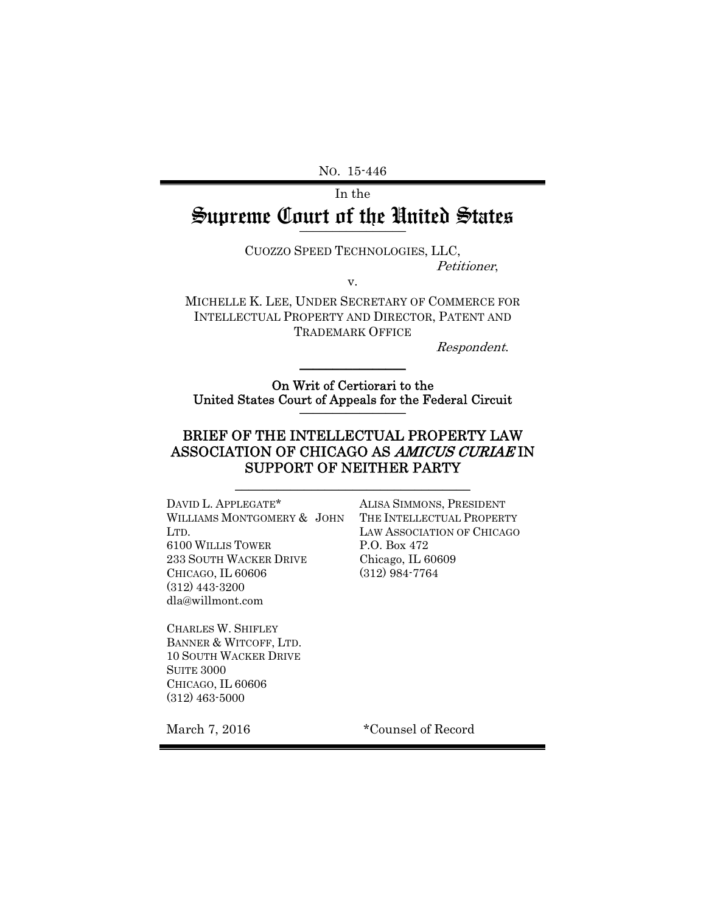NO. 15-446

In the Supreme Court of the United States \_\_\_\_\_\_\_\_\_\_\_\_\_\_\_\_

CUOZZO SPEED TECHNOLOGIES, LLC,

Petitioner,

MICHELLE K. LEE, UNDER SECRETARY OF COMMERCE FOR INTELLECTUAL PROPERTY AND DIRECTOR, PATENT AND TRADEMARK OFFICE

v.

Respondent.

On Writ of Certiorari to the United States Court of Appeals for the Federal Circuit \_\_\_\_\_\_\_\_\_\_\_\_\_\_\_\_

 $\frac{1}{2}$ 

## BRIEF OF THE INTELLECTUAL PROPERTY LAW ASSOCIATION OF CHICAGO AS AMICUS CURIAE IN SUPPORT OF NEITHER PARTY

\_\_\_\_\_\_\_\_\_\_\_\_\_\_\_\_\_\_\_\_\_\_\_\_\_\_\_\_\_\_\_\_\_\_

DAVID L. APPLEGATE\* WILLIAMS MONTGOMERY & JOHN LTD. 6100 WILLIS TOWER 233 SOUTH WACKER DRIVE CHICAGO, IL 60606 (312) 443-3200 dla@willmont.com

ALISA SIMMONS, PRESIDENT THE INTELLECTUAL PROPERTY LAW ASSOCIATION OF CHICAGO P.O. Box 472 Chicago, IL 60609 (312) 984-7764

CHARLES W. SHIFLEY BANNER & WITCOFF, LTD. 10 SOUTH WACKER DRIVE SUITE 3000 CHICAGO, IL 60606 (312) 463-5000

March 7, 2016 **\*Counsel of Record**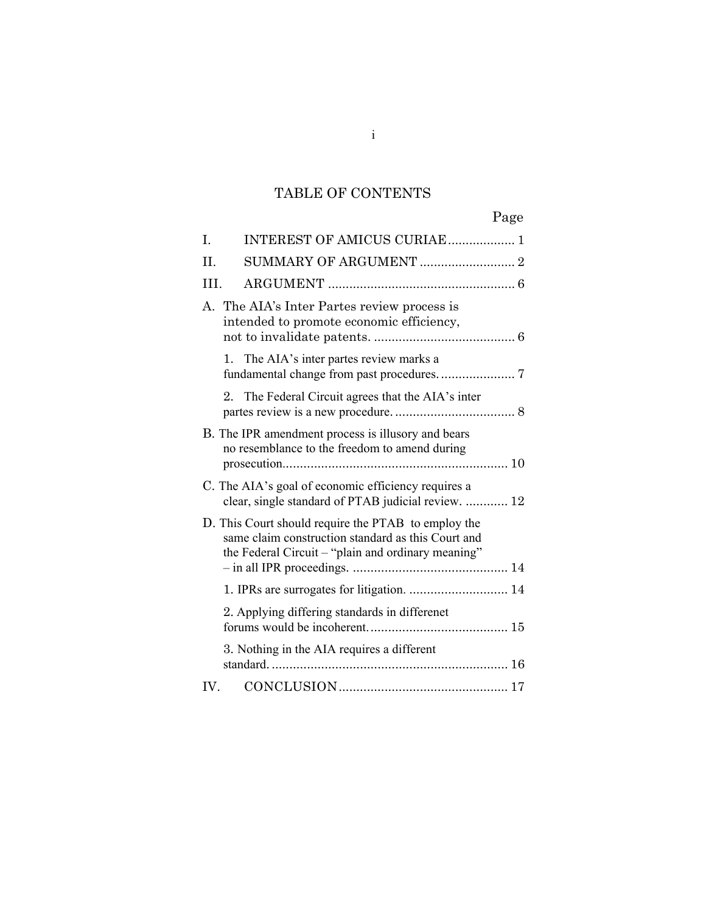# TABLE OF CONTENTS

|     | Page                                                                                                                                                            |
|-----|-----------------------------------------------------------------------------------------------------------------------------------------------------------------|
| T.  | INTEREST OF AMICUS CURIAE 1                                                                                                                                     |
| II. |                                                                                                                                                                 |
| HI. |                                                                                                                                                                 |
|     | A. The AIA's Inter Partes review process is<br>intended to promote economic efficiency,                                                                         |
|     | 1. The AIA's inter partes review marks a                                                                                                                        |
|     | 2. The Federal Circuit agrees that the AIA's inter                                                                                                              |
|     | B. The IPR amendment process is illusory and bears<br>no resemblance to the freedom to amend during                                                             |
|     | C. The AIA's goal of economic efficiency requires a<br>clear, single standard of PTAB judicial review.  12                                                      |
|     | D. This Court should require the PTAB to employ the<br>same claim construction standard as this Court and<br>the Federal Circuit – "plain and ordinary meaning" |
|     |                                                                                                                                                                 |
|     | 2. Applying differing standards in differenet                                                                                                                   |
|     | 3. Nothing in the AIA requires a different                                                                                                                      |
| IV. |                                                                                                                                                                 |

i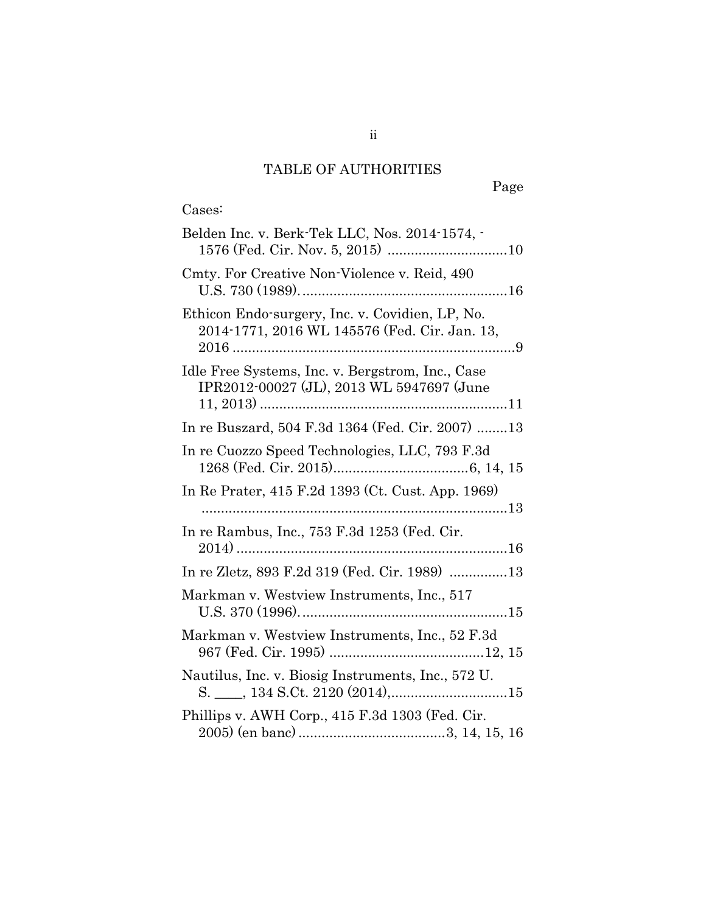# TABLE OF AUTHORITIES

Page

# Cases:

| Belden Inc. v. Berk-Tek LLC, Nos. 2014-1574, -                                                   |
|--------------------------------------------------------------------------------------------------|
| Cmty. For Creative Non-Violence v. Reid, 490                                                     |
| Ethicon Endo-surgery, Inc. v. Covidien, LP, No.<br>2014-1771, 2016 WL 145576 (Fed. Cir. Jan. 13, |
| Idle Free Systems, Inc. v. Bergstrom, Inc., Case<br>IPR2012-00027 (JL), 2013 WL 5947697 (June    |
| In re Buszard, 504 F.3d 1364 (Fed. Cir. 2007) 13                                                 |
| In re Cuozzo Speed Technologies, LLC, 793 F.3d                                                   |
| In Re Prater, 415 F.2d 1393 (Ct. Cust. App. 1969)                                                |
| In re Rambus, Inc., 753 F.3d 1253 (Fed. Cir.                                                     |
| In re Zletz, 893 F.2d 319 (Fed. Cir. 1989) 13                                                    |
| Markman v. Westview Instruments, Inc., 517                                                       |
| Markman v. Westview Instruments, Inc., 52 F.3d                                                   |
| Nautilus, Inc. v. Biosig Instruments, Inc., 572 U.                                               |
| Phillips v. AWH Corp., 415 F.3d 1303 (Fed. Cir.                                                  |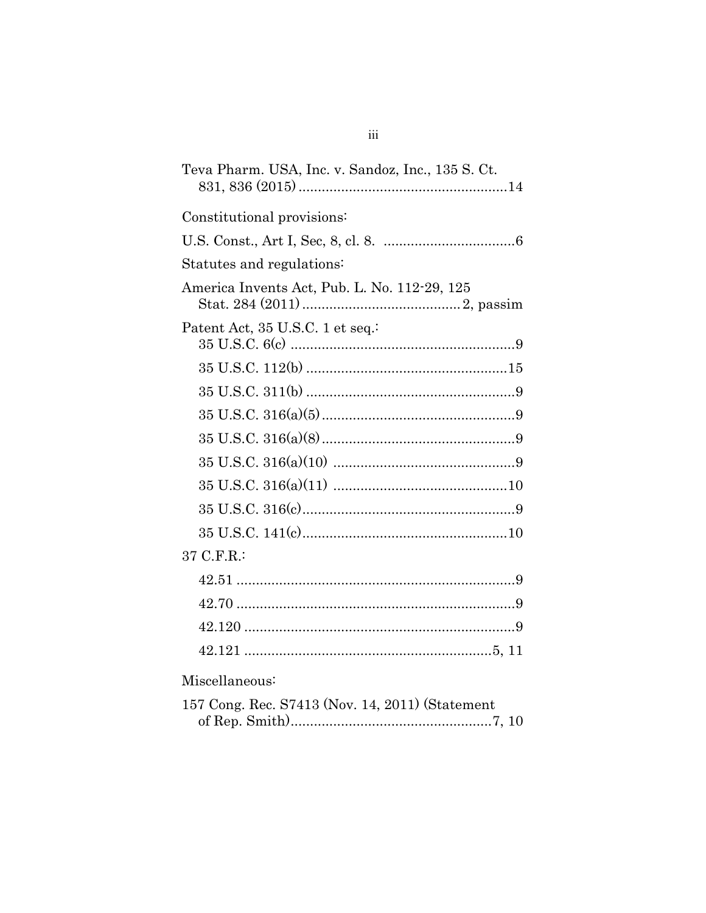| Teva Pharm. USA, Inc. v. Sandoz, Inc., 135 S. Ct. |
|---------------------------------------------------|
| Constitutional provisions:                        |
|                                                   |
| Statutes and regulations:                         |
| America Invents Act, Pub. L. No. 112-29, 125      |
| Patent Act, 35 U.S.C. 1 et seq.                   |
|                                                   |
|                                                   |
|                                                   |
|                                                   |
|                                                   |
|                                                   |
|                                                   |
|                                                   |
| 37 C.F.R.:                                        |
|                                                   |
|                                                   |
|                                                   |
|                                                   |
| Miscellaneous:                                    |
| 157 Cong. Rec. S7413 (Nov. 14, 2011) (Statement   |

| $\overline{101}$ Cong. Nec. $\overline{01410}$ (NOV. 14, 2011) (Statement |  |  |
|---------------------------------------------------------------------------|--|--|
|                                                                           |  |  |

 $\overline{\text{iii}}$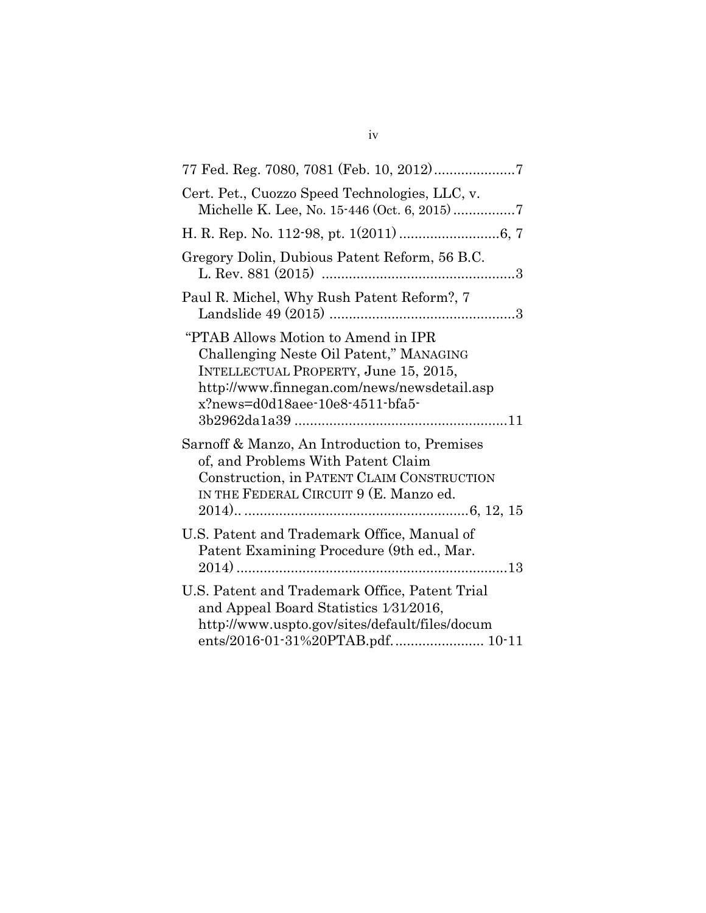| Cert. Pet., Cuozzo Speed Technologies, LLC, v.<br>Michelle K. Lee, No. 15-446 (Oct. 6, 2015)7                                                                                                             |
|-----------------------------------------------------------------------------------------------------------------------------------------------------------------------------------------------------------|
|                                                                                                                                                                                                           |
| Gregory Dolin, Dubious Patent Reform, 56 B.C.                                                                                                                                                             |
| Paul R. Michel, Why Rush Patent Reform?, 7                                                                                                                                                                |
| "PTAB Allows Motion to Amend in IPR<br>Challenging Neste Oil Patent," MANAGING<br>INTELLECTUAL PROPERTY, June 15, 2015,<br>http://www.finnegan.com/news/newsdetail.asp<br>x?news=d0d18aee-10e8-4511-bfa5- |
| Sarnoff & Manzo, An Introduction to, Premises<br>of, and Problems With Patent Claim<br>Construction, in PATENT CLAIM CONSTRUCTION<br>IN THE FEDERAL CIRCUIT 9 (E. Manzo ed.                               |
| U.S. Patent and Trademark Office, Manual of<br>Patent Examining Procedure (9th ed., Mar.                                                                                                                  |
| U.S. Patent and Trademark Office, Patent Trial<br>and Appeal Board Statistics 1/31/2016,<br>http://www.uspto.gov/sites/default/files/docum<br>ents/2016-01-31%20PTAB.pdf 10-11                            |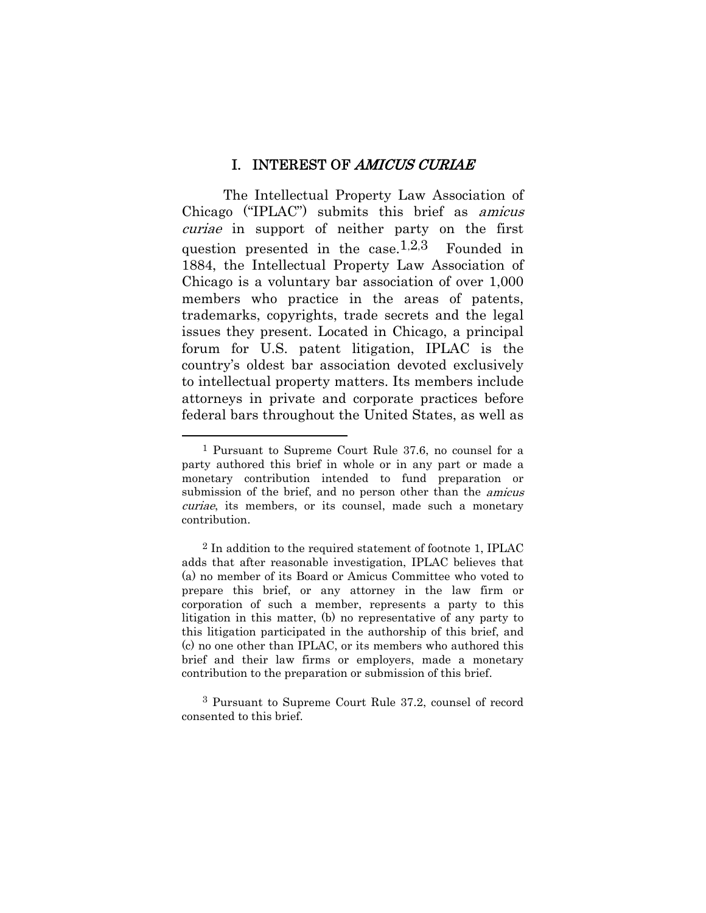#### I. INTEREST OF AMICUS CURIAE

The Intellectual Property Law Association of Chicago ("IPLAC") submits this brief as amicus curiae in support of neither party on the first question presented in the case.<sup>1,2,3</sup> Founded in 1884, the Intellectual Property Law Association of Chicago is a voluntary bar association of over 1,000 members who practice in the areas of patents, trademarks, copyrights, trade secrets and the legal issues they present. Located in Chicago, a principal forum for U.S. patent litigation, IPLAC is the country's oldest bar association devoted exclusively to intellectual property matters. Its members include attorneys in private and corporate practices before federal bars throughout the United States, as well as

 $\overline{a}$ 

<sup>1</sup> Pursuant to Supreme Court Rule 37.6, no counsel for a party authored this brief in whole or in any part or made a monetary contribution intended to fund preparation or submission of the brief, and no person other than the *amicus* curiae, its members, or its counsel, made such a monetary contribution.

 $2$  In addition to the required statement of footnote 1, IPLAC adds that after reasonable investigation, IPLAC believes that (a) no member of its Board or Amicus Committee who voted to prepare this brief, or any attorney in the law firm or corporation of such a member, represents a party to this litigation in this matter, (b) no representative of any party to this litigation participated in the authorship of this brief, and (c) no one other than IPLAC, or its members who authored this brief and their law firms or employers, made a monetary contribution to the preparation or submission of this brief.

<sup>3</sup> Pursuant to Supreme Court Rule 37.2, counsel of record consented to this brief.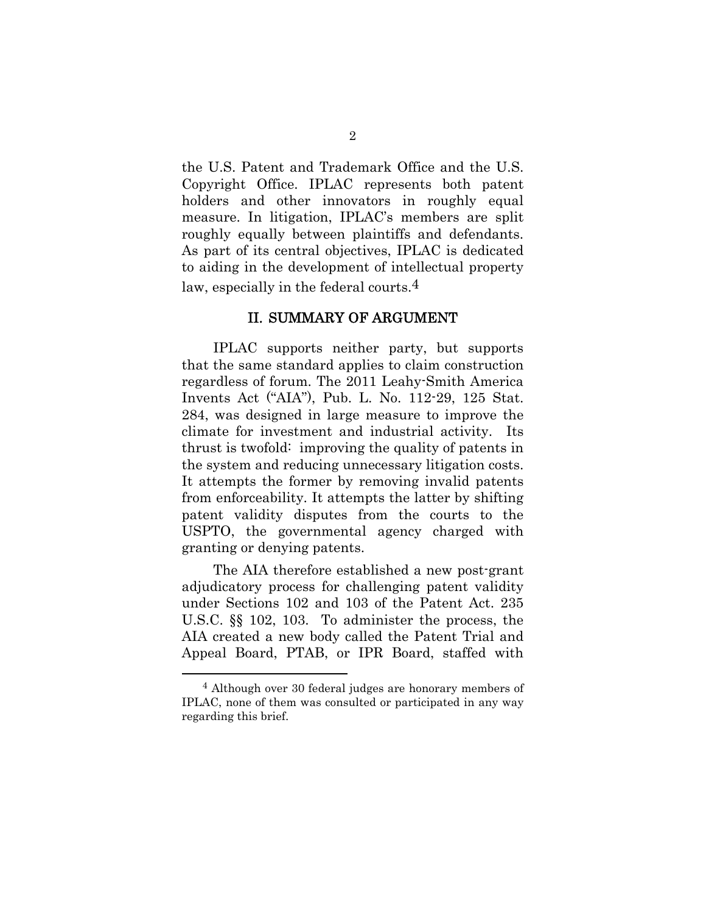the U.S. Patent and Trademark Office and the U.S. Copyright Office. IPLAC represents both patent holders and other innovators in roughly equal measure. In litigation, IPLAC's members are split roughly equally between plaintiffs and defendants. As part of its central objectives, IPLAC is dedicated to aiding in the development of intellectual property law, especially in the federal courts.<sup>4</sup>

#### II. SUMMARY OF ARGUMENT

IPLAC supports neither party, but supports that the same standard applies to claim construction regardless of forum. The 2011 Leahy-Smith America Invents Act ("AIA"), Pub. L. No. 112-29, 125 Stat. 284, was designed in large measure to improve the climate for investment and industrial activity. Its thrust is twofold: improving the quality of patents in the system and reducing unnecessary litigation costs. It attempts the former by removing invalid patents from enforceability. It attempts the latter by shifting patent validity disputes from the courts to the USPTO, the governmental agency charged with granting or denying patents.

The AIA therefore established a new post-grant adjudicatory process for challenging patent validity under Sections 102 and 103 of the Patent Act. 235 U.S.C. §§ 102, 103. To administer the process, the AIA created a new body called the Patent Trial and Appeal Board, PTAB, or IPR Board, staffed with

 $\overline{a}$ 

<sup>4</sup> Although over 30 federal judges are honorary members of IPLAC, none of them was consulted or participated in any way regarding this brief.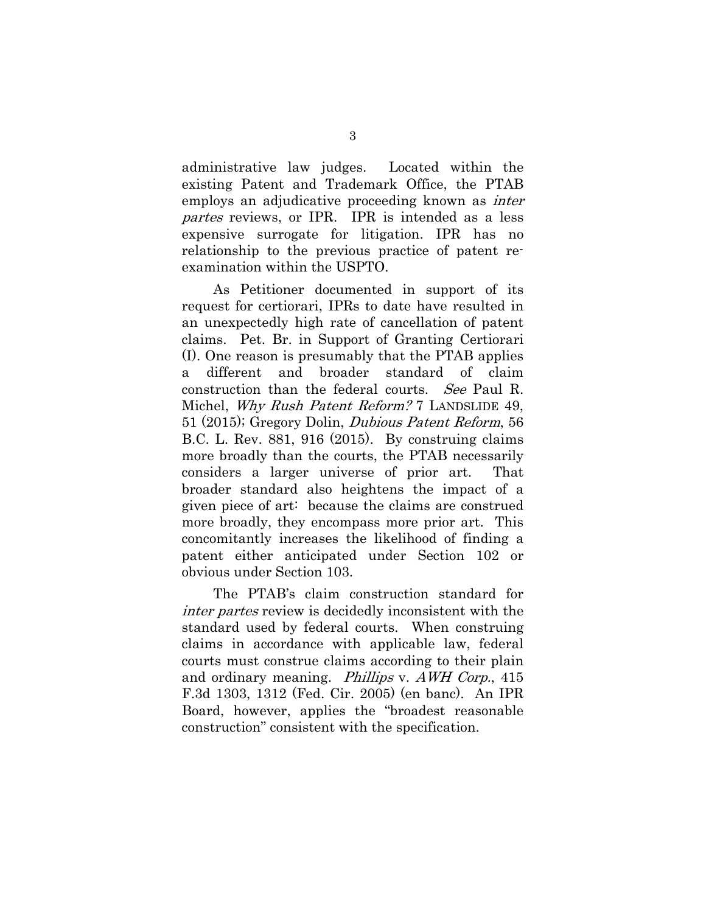administrative law judges. Located within the existing Patent and Trademark Office, the PTAB employs an adjudicative proceeding known as *inter* partes reviews, or IPR. IPR is intended as a less expensive surrogate for litigation. IPR has no relationship to the previous practice of patent reexamination within the USPTO.

As Petitioner documented in support of its request for certiorari, IPRs to date have resulted in an unexpectedly high rate of cancellation of patent claims. Pet. Br. in Support of Granting Certiorari (I). One reason is presumably that the PTAB applies a different and broader standard of claim construction than the federal courts. See Paul R. Michel, Why Rush Patent Reform? 7 LANDSLIDE 49, 51 (2015); Gregory Dolin, Dubious Patent Reform, 56 B.C. L. Rev. 881, 916 (2015). By construing claims more broadly than the courts, the PTAB necessarily considers a larger universe of prior art. That broader standard also heightens the impact of a given piece of art: because the claims are construed more broadly, they encompass more prior art. This concomitantly increases the likelihood of finding a patent either anticipated under Section 102 or obvious under Section 103.

The PTAB's claim construction standard for inter partes review is decidedly inconsistent with the standard used by federal courts. When construing claims in accordance with applicable law, federal courts must construe claims according to their plain and ordinary meaning. Phillips v. AWH Corp., 415 F.3d 1303, 1312 (Fed. Cir. 2005) (en banc). An IPR Board, however, applies the "broadest reasonable construction" consistent with the specification.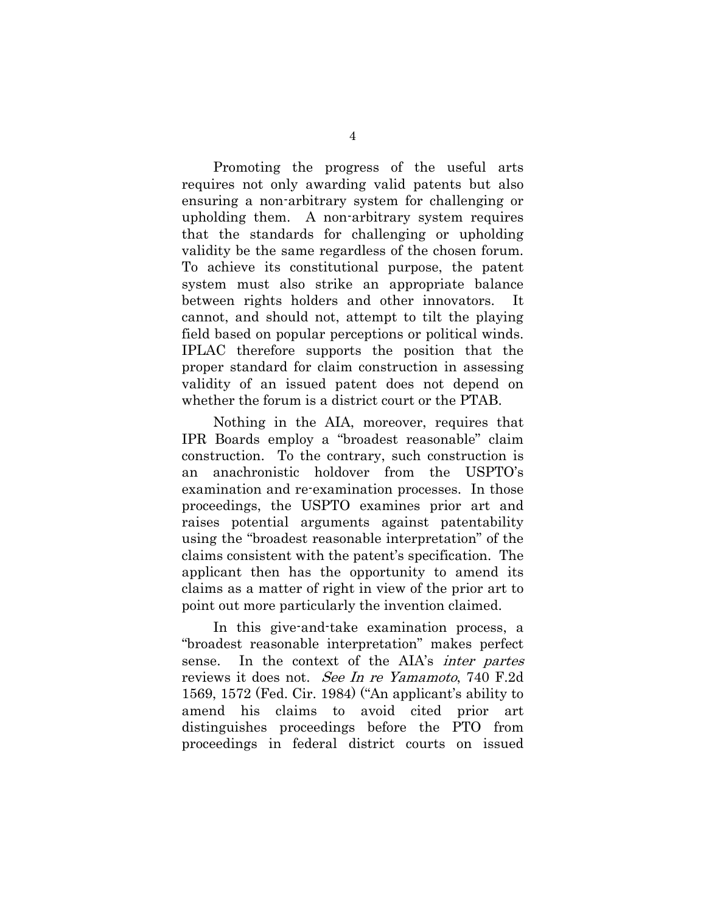Promoting the progress of the useful arts requires not only awarding valid patents but also ensuring a non-arbitrary system for challenging or upholding them. A non-arbitrary system requires that the standards for challenging or upholding validity be the same regardless of the chosen forum. To achieve its constitutional purpose, the patent system must also strike an appropriate balance between rights holders and other innovators. It cannot, and should not, attempt to tilt the playing field based on popular perceptions or political winds. IPLAC therefore supports the position that the proper standard for claim construction in assessing validity of an issued patent does not depend on whether the forum is a district court or the PTAB.

Nothing in the AIA, moreover, requires that IPR Boards employ a "broadest reasonable" claim construction. To the contrary, such construction is an anachronistic holdover from the USPTO's examination and re-examination processes. In those proceedings, the USPTO examines prior art and raises potential arguments against patentability using the "broadest reasonable interpretation" of the claims consistent with the patent's specification. The applicant then has the opportunity to amend its claims as a matter of right in view of the prior art to point out more particularly the invention claimed.

In this give-and-take examination process, a "broadest reasonable interpretation" makes perfect sense. In the context of the AIA's inter partes reviews it does not. See In re Yamamoto, 740 F.2d 1569, 1572 (Fed. Cir. 1984) ("An applicant's ability to amend his claims to avoid cited prior art distinguishes proceedings before the PTO from proceedings in federal district courts on issued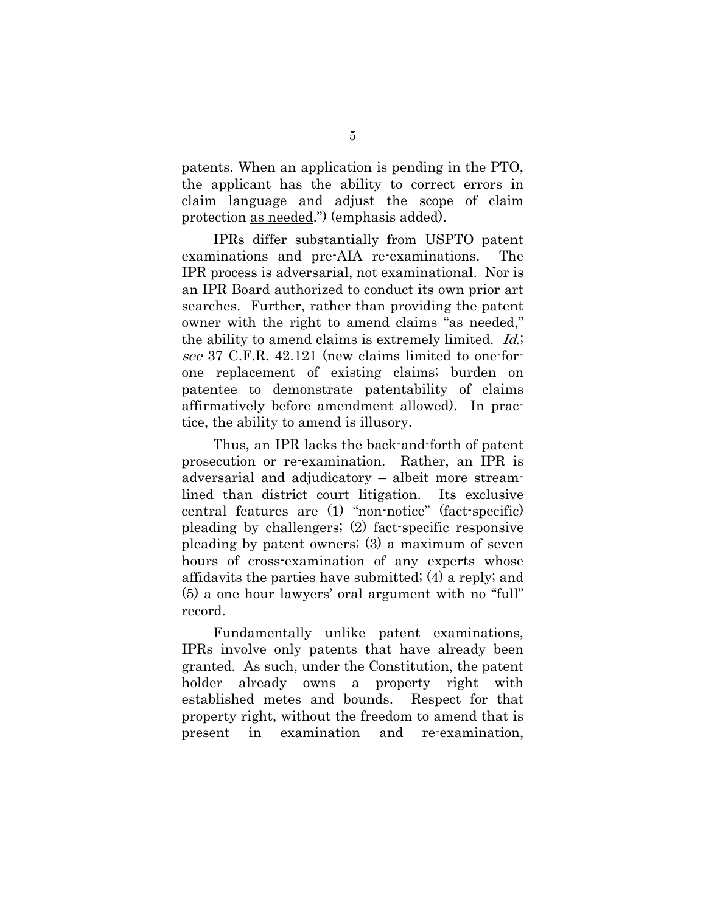patents. When an application is pending in the PTO, the applicant has the ability to correct errors in claim language and adjust the scope of claim protection as needed.") (emphasis added).

IPRs differ substantially from USPTO patent examinations and pre-AIA re-examinations. The IPR process is adversarial, not examinational. Nor is an IPR Board authorized to conduct its own prior art searches. Further, rather than providing the patent owner with the right to amend claims "as needed," the ability to amend claims is extremely limited. *Id.*; see 37 C.F.R. 42.121 (new claims limited to one-forone replacement of existing claims; burden on patentee to demonstrate patentability of claims affirmatively before amendment allowed). In practice, the ability to amend is illusory.

Thus, an IPR lacks the back-and-forth of patent prosecution or re-examination. Rather, an IPR is adversarial and adjudicatory – albeit more streamlined than district court litigation. Its exclusive central features are (1) "non-notice" (fact-specific) pleading by challengers; (2) fact-specific responsive pleading by patent owners; (3) a maximum of seven hours of cross-examination of any experts whose affidavits the parties have submitted; (4) a reply; and (5) a one hour lawyers' oral argument with no "full" record.

Fundamentally unlike patent examinations, IPRs involve only patents that have already been granted. As such, under the Constitution, the patent holder already owns a property right with established metes and bounds. Respect for that property right, without the freedom to amend that is present in examination and re-examination,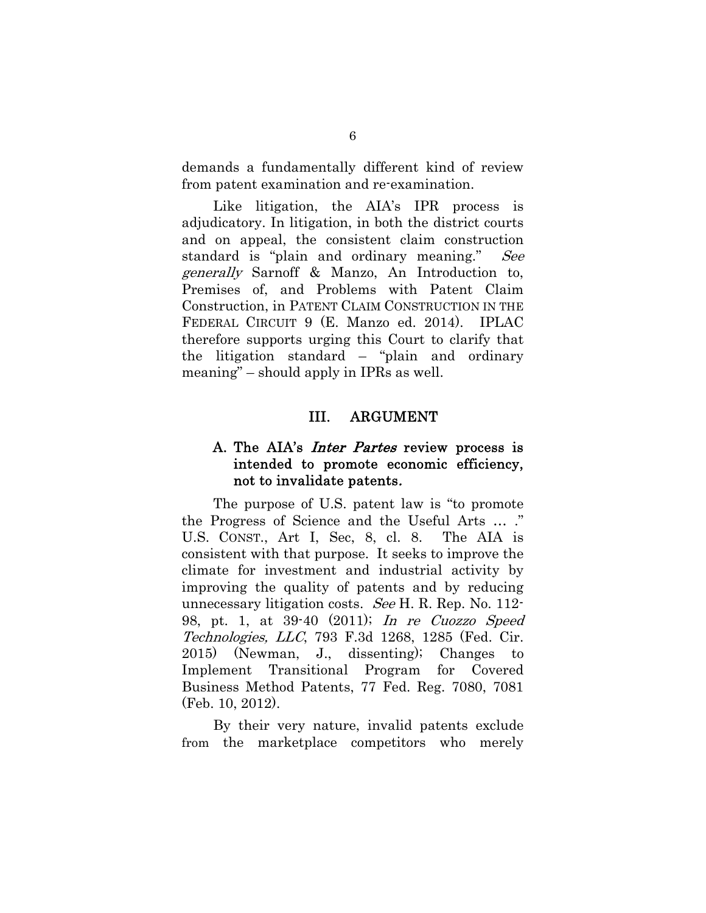demands a fundamentally different kind of review from patent examination and re-examination.

Like litigation, the AIA's IPR process is adjudicatory. In litigation, in both the district courts and on appeal, the consistent claim construction standard is "plain and ordinary meaning." See generally Sarnoff & Manzo, An Introduction to, Premises of, and Problems with Patent Claim Construction, in PATENT CLAIM CONSTRUCTION IN THE FEDERAL CIRCUIT 9 (E. Manzo ed. 2014). IPLAC therefore supports urging this Court to clarify that the litigation standard – "plain and ordinary meaning" – should apply in IPRs as well.

#### III. ARGUMENT

### A. The AIA's *Inter Partes* review process is intended to promote economic efficiency, not to invalidate patents.

The purpose of U.S. patent law is "to promote the Progress of Science and the Useful Arts … ." U.S. CONST., Art I, Sec, 8, cl. 8. The AIA is consistent with that purpose. It seeks to improve the climate for investment and industrial activity by improving the quality of patents and by reducing unnecessary litigation costs. See H. R. Rep. No. 112- 98, pt. 1, at 39-40 (2011); In re Cuozzo Speed Technologies, LLC, 793 F.3d 1268, 1285 (Fed. Cir. 2015) (Newman, J., dissenting); Changes to Implement Transitional Program for Covered Business Method Patents, 77 Fed. Reg. 7080, 7081 (Feb. 10, 2012).

By their very nature, invalid patents exclude from the marketplace competitors who merely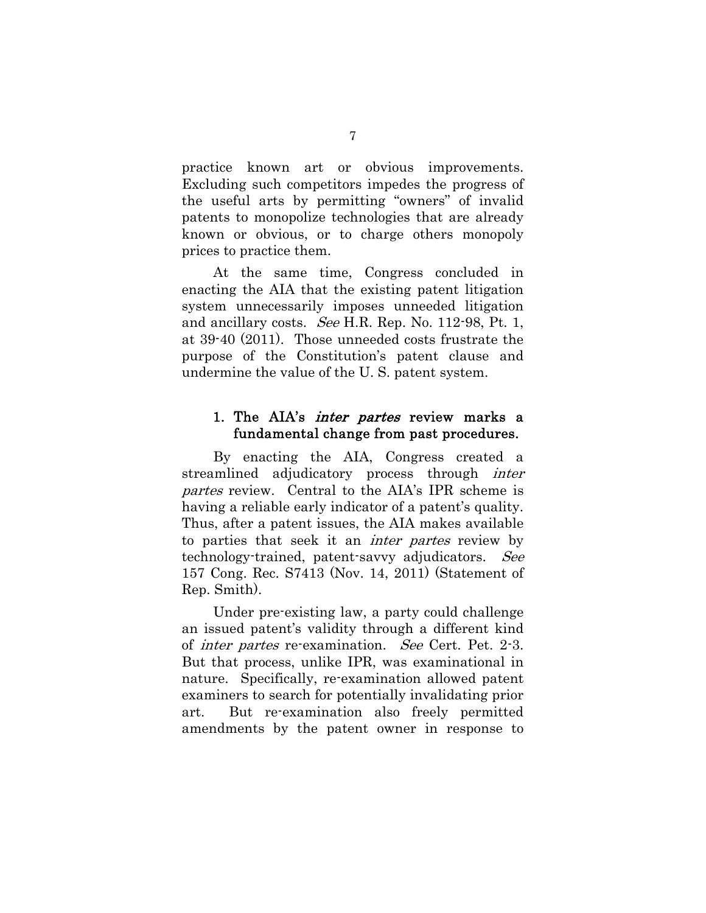practice known art or obvious improvements. Excluding such competitors impedes the progress of the useful arts by permitting "owners" of invalid patents to monopolize technologies that are already known or obvious, or to charge others monopoly prices to practice them.

At the same time, Congress concluded in enacting the AIA that the existing patent litigation system unnecessarily imposes unneeded litigation and ancillary costs. See H.R. Rep. No. 112-98, Pt. 1, at 39-40 (2011). Those unneeded costs frustrate the purpose of the Constitution's patent clause and undermine the value of the U. S. patent system.

### 1. The AIA's *inter partes* review marks a fundamental change from past procedures.

By enacting the AIA, Congress created a streamlined adjudicatory process through *inter* partes review. Central to the AIA's IPR scheme is having a reliable early indicator of a patent's quality. Thus, after a patent issues, the AIA makes available to parties that seek it an inter partes review by technology-trained, patent-savvy adjudicators. See 157 Cong. Rec. S7413 (Nov. 14, 2011) (Statement of Rep. Smith).

Under pre-existing law, a party could challenge an issued patent's validity through a different kind of inter partes re-examination. See Cert. Pet. 2-3. But that process, unlike IPR, was examinational in nature. Specifically, re-examination allowed patent examiners to search for potentially invalidating prior art. But re-examination also freely permitted amendments by the patent owner in response to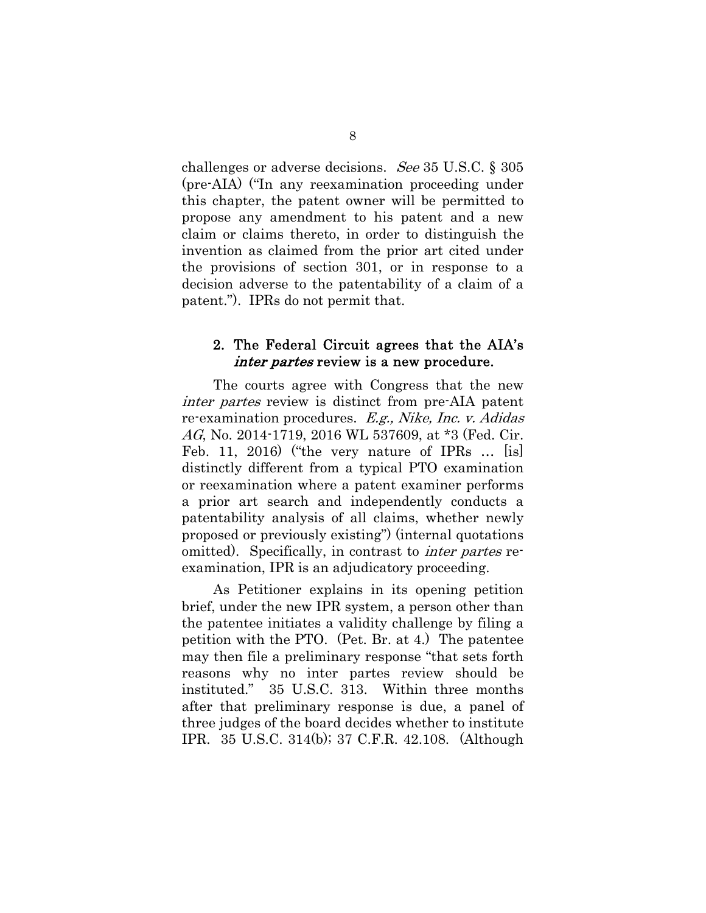challenges or adverse decisions. See 35 U.S.C. § 305 (pre-AIA) ("In any reexamination proceeding under this chapter, the patent owner will be permitted to propose any amendment to his patent and a new claim or claims thereto, in order to distinguish the invention as claimed from the prior art cited under the provisions of section 301, or in response to a decision adverse to the patentability of a claim of a patent."). IPRs do not permit that.

### 2. The Federal Circuit agrees that the AIA's inter partes review is a new procedure.

The courts agree with Congress that the new inter partes review is distinct from pre-AIA patent re-examination procedures. E.g., Nike, Inc. v. Adidas AG, No. 2014-1719, 2016 WL 537609, at \*3 (Fed. Cir. Feb. 11, 2016) ("the very nature of IPRs ... [is] distinctly different from a typical PTO examination or reexamination where a patent examiner performs a prior art search and independently conducts a patentability analysis of all claims, whether newly proposed or previously existing") (internal quotations omitted). Specifically, in contrast to inter partes reexamination, IPR is an adjudicatory proceeding.

As Petitioner explains in its opening petition brief, under the new IPR system, a person other than the patentee initiates a validity challenge by filing a petition with the PTO. (Pet. Br. at 4.) The patentee may then file a preliminary response "that sets forth reasons why no inter partes review should be instituted." 35 U.S.C. 313. Within three months after that preliminary response is due, a panel of three judges of the board decides whether to institute IPR. 35 U.S.C. 314(b); 37 C.F.R. 42.108. (Although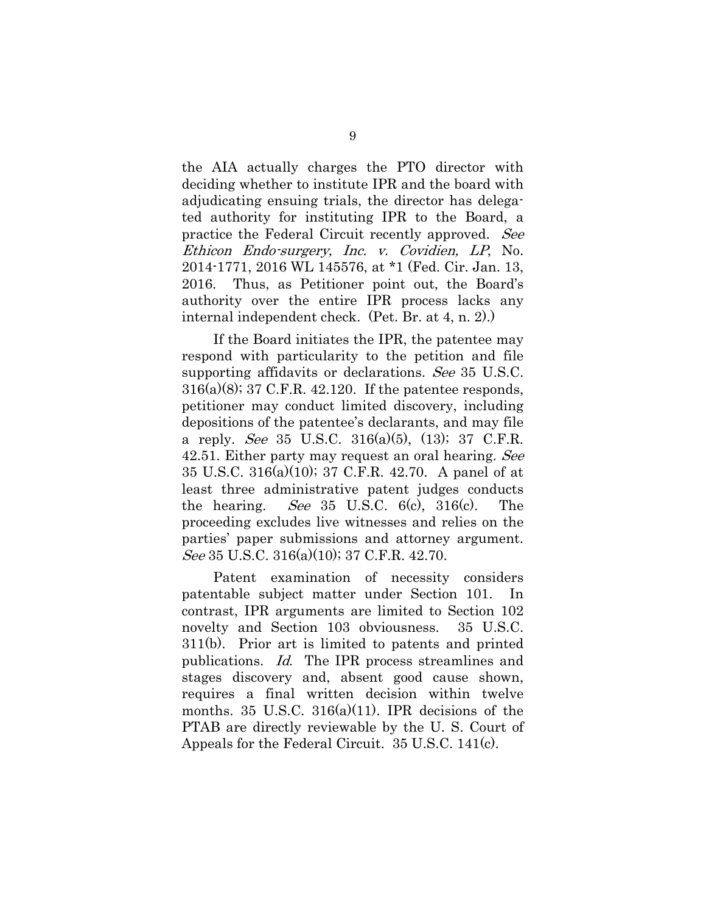the AIA actually charges the PTO director with deciding whether to institute IPR and the board with adjudicating ensuing trials, the director has delegated authority for instituting IPR to the Board, a practice the Federal Circuit recently approved. See Ethicon Endo-surgery, Inc. v. Covidien, LP, No. 2014-1771, 2016 WL 145576, at \*1 (Fed. Cir. Jan. 13, 2016. Thus, as Petitioner point out, the Board's authority over the entire IPR process lacks any internal independent check. (Pet. Br. at 4, n. 2).)

If the Board initiates the IPR, the patentee may respond with particularity to the petition and file supporting affidavits or declarations. See 35 U.S.C.  $316(a)(8)$ ; 37 C.F.R. 42.120. If the patentee responds, petitioner may conduct limited discovery, including depositions of the patentee's declarants, and may file a reply. See 35 U.S.C.  $316(a)(5)$ ,  $(13)$ ; 37 C.F.R. 42.51. Either party may request an oral hearing. See 35 U.S.C. 316(a)(10); 37 C.F.R. 42.70. A panel of at least three administrative patent judges conducts the hearing. See 35 U.S.C.  $6(c)$ ,  $316(c)$ . The proceeding excludes live witnesses and relies on the parties' paper submissions and attorney argument. See 35 U.S.C. 316(a)(10); 37 C.F.R. 42.70.

Patent examination of necessity considers patentable subject matter under Section 101. In contrast, IPR arguments are limited to Section 102 novelty and Section 103 obviousness. 35 U.S.C. 311(b). Prior art is limited to patents and printed publications. Id. The IPR process streamlines and stages discovery and, absent good cause shown, requires a final written decision within twelve months. 35 U.S.C.  $316(a)(11)$ . IPR decisions of the PTAB are directly reviewable by the U. S. Court of Appeals for the Federal Circuit. 35 U.S.C. 141(c).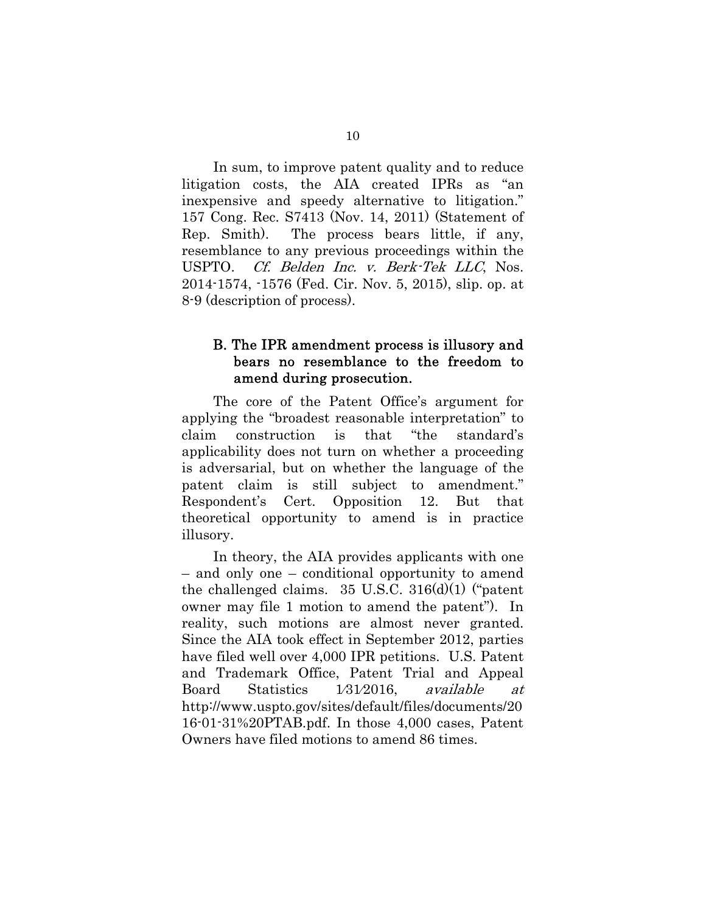In sum, to improve patent quality and to reduce litigation costs, the AIA created IPRs as "an inexpensive and speedy alternative to litigation." 157 Cong. Rec. S7413 (Nov. 14, 2011) (Statement of Rep. Smith). The process bears little, if any, resemblance to any previous proceedings within the USPTO. Cf. Belden Inc. v. Berk-Tek LLC, Nos. 2014-1574, -1576 (Fed. Cir. Nov. 5, 2015), slip. op. at 8-9 (description of process).

## B. The IPR amendment process is illusory and bears no resemblance to the freedom to amend during prosecution.

The core of the Patent Office's argument for applying the "broadest reasonable interpretation" to claim construction is that "the standard's applicability does not turn on whether a proceeding is adversarial, but on whether the language of the patent claim is still subject to amendment." Respondent's Cert. Opposition 12. But that theoretical opportunity to amend is in practice illusory.

In theory, the AIA provides applicants with one – and only one – conditional opportunity to amend the challenged claims.  $35 \text{ U.S.C. } 316\text{ (d)}(1)$  ("patent") owner may file 1 motion to amend the patent"). In reality, such motions are almost never granted. Since the AIA took effect in September 2012, parties have filed well over 4,000 IPR petitions. U.S. Patent and Trademark Office, Patent Trial and Appeal Board Statistics 1⁄31⁄2016, available at http://www.uspto.gov/sites/default/files/documents/20 16-01-31%20PTAB.pdf. In those 4,000 cases, Patent Owners have filed motions to amend 86 times.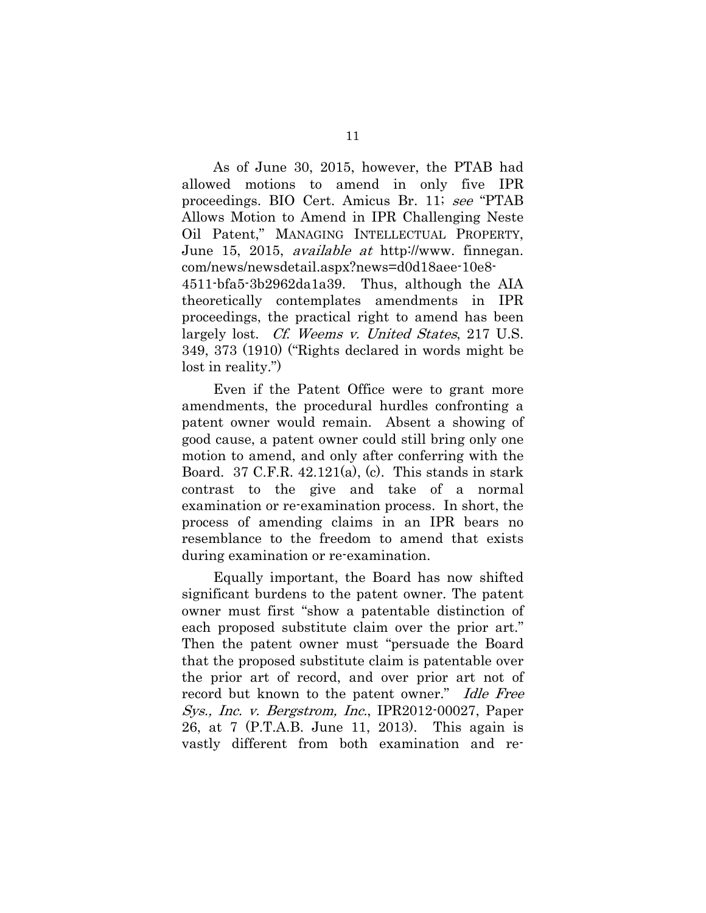As of June 30, 2015, however, the PTAB had allowed motions to amend in only five IPR proceedings. BIO Cert. Amicus Br. 11; see "PTAB Allows Motion to Amend in IPR Challenging Neste Oil Patent," MANAGING INTELLECTUAL PROPERTY, June 15, 2015, available at http://www. finnegan. com/news/newsdetail.aspx?news=d0d18aee-10e8- 4511-bfa5-3b2962da1a39. Thus, although the AIA theoretically contemplates amendments in IPR proceedings, the practical right to amend has been largely lost. *Cf. Weems v. United States*, 217 U.S. 349, 373 (1910) ("Rights declared in words might be lost in reality.")

Even if the Patent Office were to grant more amendments, the procedural hurdles confronting a patent owner would remain. Absent a showing of good cause, a patent owner could still bring only one motion to amend, and only after conferring with the Board. 37 C.F.R. 42.121(a), (c). This stands in stark contrast to the give and take of a normal examination or re-examination process. In short, the process of amending claims in an IPR bears no resemblance to the freedom to amend that exists during examination or re-examination.

Equally important, the Board has now shifted significant burdens to the patent owner. The patent owner must first "show a patentable distinction of each proposed substitute claim over the prior art." Then the patent owner must "persuade the Board that the proposed substitute claim is patentable over the prior art of record, and over prior art not of record but known to the patent owner." Idle Free Sys., Inc. v. Bergstrom, Inc., IPR2012-00027, Paper 26, at 7 (P.T.A.B. June 11, 2013). This again is vastly different from both examination and re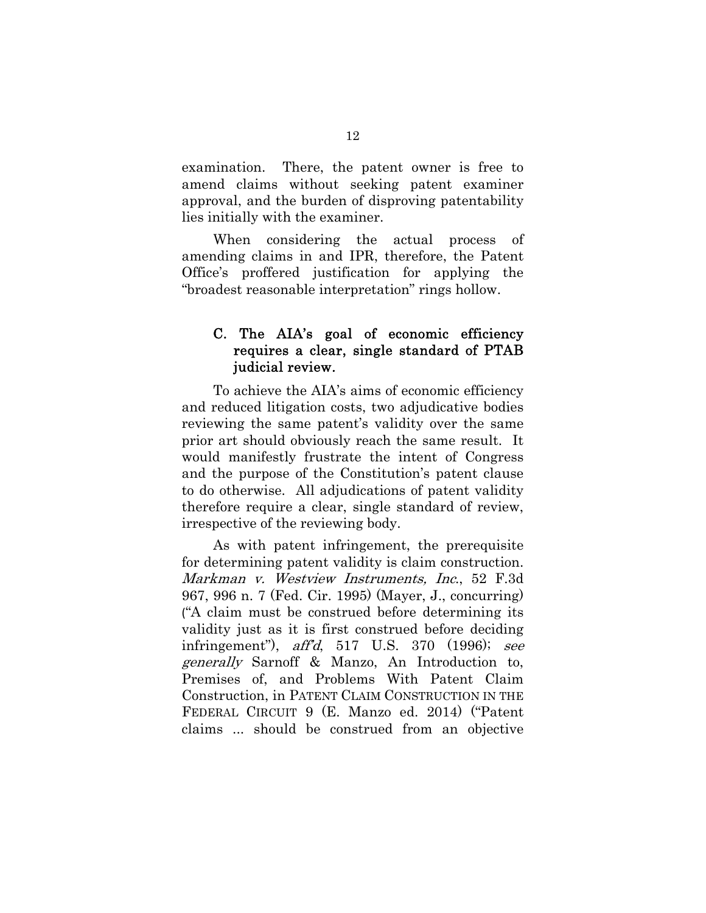examination. There, the patent owner is free to amend claims without seeking patent examiner approval, and the burden of disproving patentability lies initially with the examiner.

When considering the actual process of amending claims in and IPR, therefore, the Patent Office's proffered justification for applying the "broadest reasonable interpretation" rings hollow.

# C. The AIA's goal of economic efficiency requires a clear, single standard of PTAB judicial review.

To achieve the AIA's aims of economic efficiency and reduced litigation costs, two adjudicative bodies reviewing the same patent's validity over the same prior art should obviously reach the same result. It would manifestly frustrate the intent of Congress and the purpose of the Constitution's patent clause to do otherwise. All adjudications of patent validity therefore require a clear, single standard of review, irrespective of the reviewing body.

As with patent infringement, the prerequisite for determining patent validity is claim construction. Markman v. Westview Instruments, Inc., 52 F.3d 967, 996 n. 7 (Fed. Cir. 1995) (Mayer, J., concurring) ("A claim must be construed before determining its validity just as it is first construed before deciding infringement"), aff'd, 517 U.S. 370 (1996); see generally Sarnoff & Manzo, An Introduction to, Premises of, and Problems With Patent Claim Construction, in PATENT CLAIM CONSTRUCTION IN THE FEDERAL CIRCUIT 9 (E. Manzo ed. 2014) ("Patent claims ... should be construed from an objective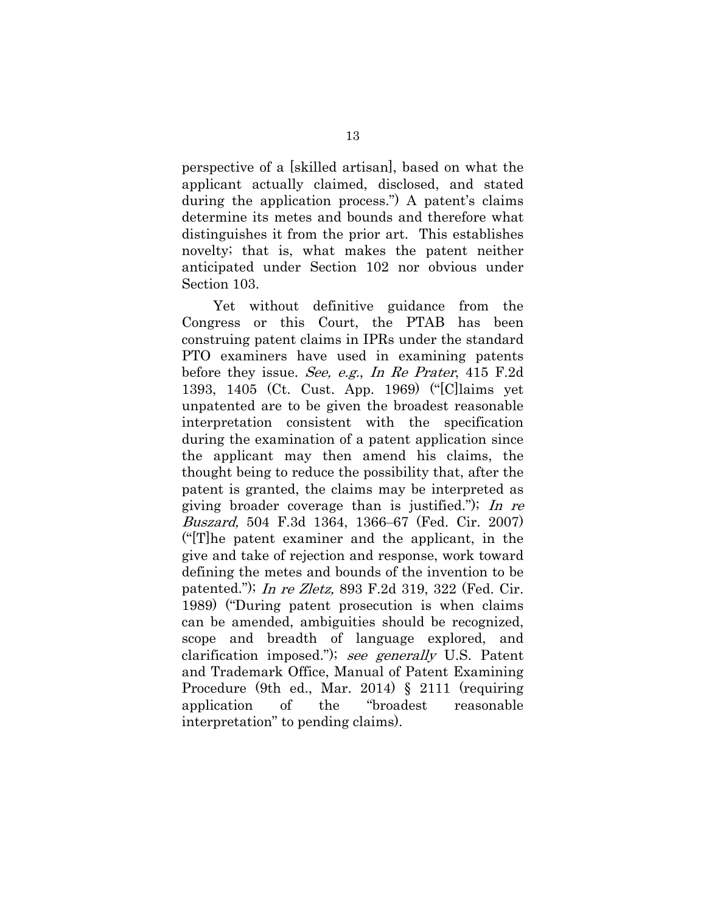perspective of a [skilled artisan], based on what the applicant actually claimed, disclosed, and stated during the application process.") A patent's claims determine its metes and bounds and therefore what distinguishes it from the prior art. This establishes novelty; that is, what makes the patent neither anticipated under Section 102 nor obvious under Section 103.

Yet without definitive guidance from the Congress or this Court, the PTAB has been construing patent claims in IPRs under the standard PTO examiners have used in examining patents before they issue. See, e.g., In Re Prater, 415 F.2d 1393, 1405 (Ct. Cust. App. 1969) ("[C]laims yet unpatented are to be given the broadest reasonable interpretation consistent with the specification during the examination of a patent application since the applicant may then amend his claims, the thought being to reduce the possibility that, after the patent is granted, the claims may be interpreted as giving broader coverage than is justified."); In re Buszard, 504 F.3d 1364, 1366‒67 (Fed. Cir. 2007) ("[T]he patent examiner and the applicant, in the give and take of rejection and response, work toward defining the metes and bounds of the invention to be patented."); In re Zletz, 893 F.2d 319, 322 (Fed. Cir. 1989) ("During patent prosecution is when claims can be amended, ambiguities should be recognized, scope and breadth of language explored, and clarification imposed."); see generally U.S. Patent and Trademark Office, Manual of Patent Examining Procedure (9th ed., Mar. 2014) § 2111 (requiring application of the "broadest reasonable interpretation" to pending claims).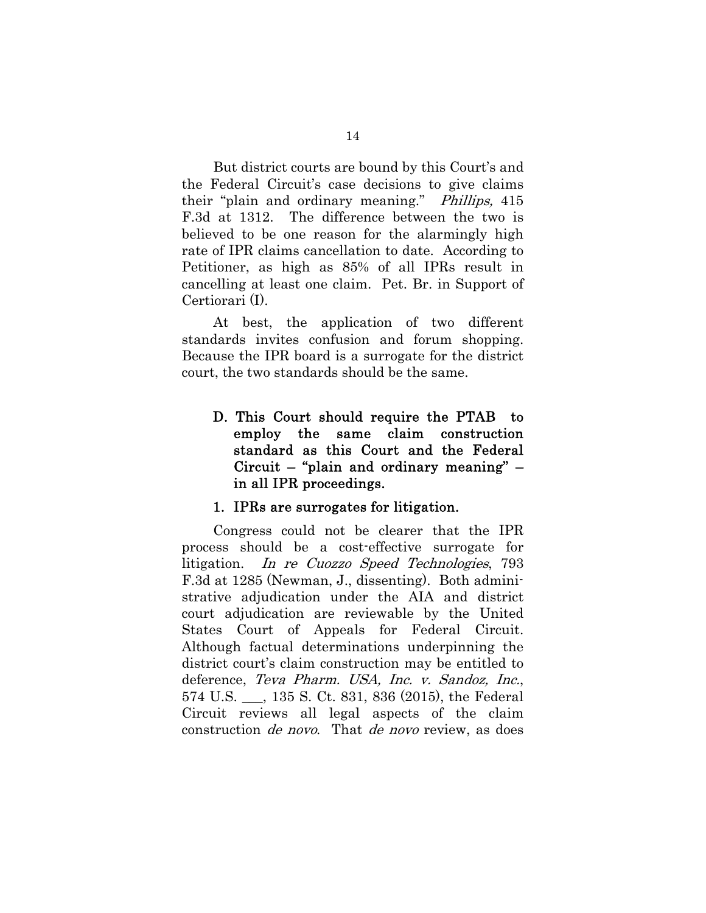But district courts are bound by this Court's and the Federal Circuit's case decisions to give claims their "plain and ordinary meaning." *Phillips*, 415 F.3d at 1312. The difference between the two is believed to be one reason for the alarmingly high rate of IPR claims cancellation to date. According to Petitioner, as high as 85% of all IPRs result in cancelling at least one claim. Pet. Br. in Support of Certiorari (I).

At best, the application of two different standards invites confusion and forum shopping. Because the IPR board is a surrogate for the district court, the two standards should be the same.

D. This Court should require the PTAB to employ the same claim construction standard as this Court and the Federal Circuit – "plain and ordinary meaning" – in all IPR proceedings.

#### 1. IPRs are surrogates for litigation.

Congress could not be clearer that the IPR process should be a cost-effective surrogate for litigation. In re Cuozzo Speed Technologies, 793 F.3d at 1285 (Newman, J., dissenting). Both administrative adjudication under the AIA and district court adjudication are reviewable by the United States Court of Appeals for Federal Circuit. Although factual determinations underpinning the district court's claim construction may be entitled to deference, Teva Pharm. USA, Inc. v. Sandoz, Inc., 574 U.S. \_\_\_, 135 S. Ct. 831, 836 (2015), the Federal Circuit reviews all legal aspects of the claim construction de novo. That de novo review, as does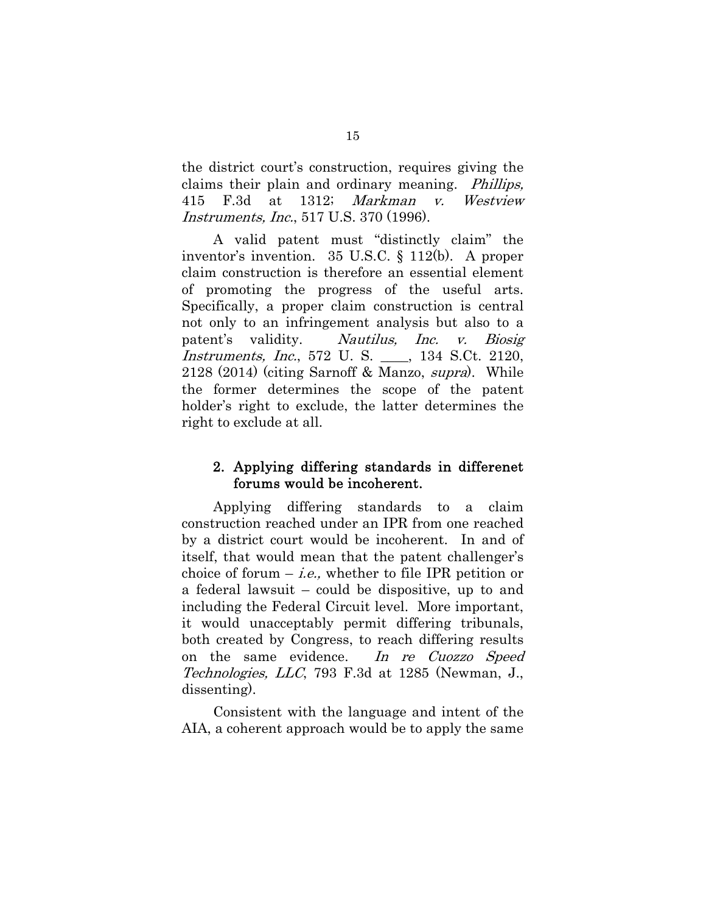the district court's construction, requires giving the claims their plain and ordinary meaning. Phillips, 415 F.3d at 1312; Markman v. Westview Instruments, Inc., 517 U.S. 370 (1996).

A valid patent must "distinctly claim" the inventor's invention. 35 U.S.C. § 112(b). A proper claim construction is therefore an essential element of promoting the progress of the useful arts. Specifically, a proper claim construction is central not only to an infringement analysis but also to a patent's validity. Nautilus, Inc. v. Biosig Instruments, Inc., 572 U. S. \_\_\_\_, 134 S.Ct. 2120, 2128 (2014) (citing Sarnoff & Manzo, supra). While the former determines the scope of the patent holder's right to exclude, the latter determines the right to exclude at all.

## 2. Applying differing standards in differenet forums would be incoherent.

Applying differing standards to a claim construction reached under an IPR from one reached by a district court would be incoherent. In and of itself, that would mean that the patent challenger's choice of forum  $-i.e.,$  whether to file IPR petition or a federal lawsuit – could be dispositive, up to and including the Federal Circuit level. More important, it would unacceptably permit differing tribunals, both created by Congress, to reach differing results on the same evidence. In re Cuozzo Speed Technologies, LLC, 793 F.3d at 1285 (Newman, J., dissenting).

Consistent with the language and intent of the AIA, a coherent approach would be to apply the same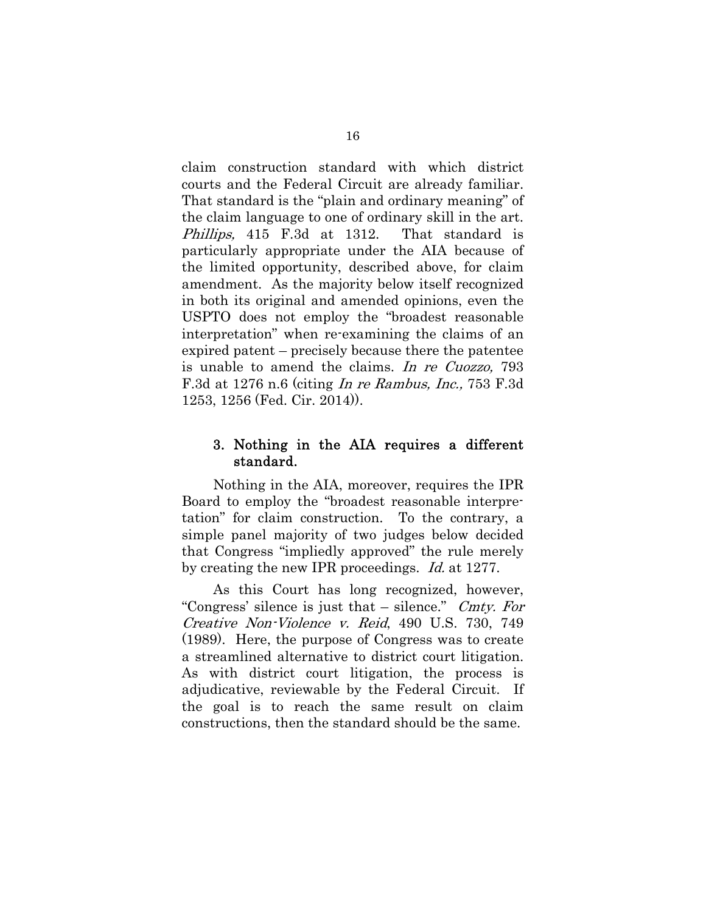claim construction standard with which district courts and the Federal Circuit are already familiar. That standard is the "plain and ordinary meaning" of the claim language to one of ordinary skill in the art. Phillips, 415 F.3d at 1312. That standard is particularly appropriate under the AIA because of the limited opportunity, described above, for claim amendment. As the majority below itself recognized in both its original and amended opinions, even the USPTO does not employ the "broadest reasonable interpretation" when re-examining the claims of an expired patent – precisely because there the patentee is unable to amend the claims. In re Cuozzo, 793 F.3d at 1276 n.6 (citing In re Rambus, Inc., 753 F.3d 1253, 1256 (Fed. Cir. 2014)).

### 3. Nothing in the AIA requires a different standard.

Nothing in the AIA, moreover, requires the IPR Board to employ the "broadest reasonable interpretation" for claim construction. To the contrary, a simple panel majority of two judges below decided that Congress "impliedly approved" the rule merely by creating the new IPR proceedings. *Id.* at 1277.

As this Court has long recognized, however, "Congress' silence is just that  $-$  silence." Cmty. For Creative Non-Violence v. Reid, 490 U.S. 730, 749 (1989). Here, the purpose of Congress was to create a streamlined alternative to district court litigation. As with district court litigation, the process is adjudicative, reviewable by the Federal Circuit. If the goal is to reach the same result on claim constructions, then the standard should be the same.